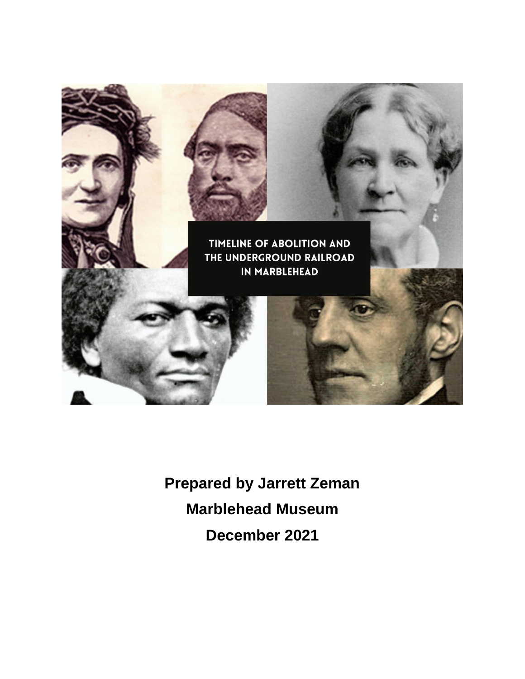

**Prepared by Jarrett Zeman Marblehead Museum December 2021**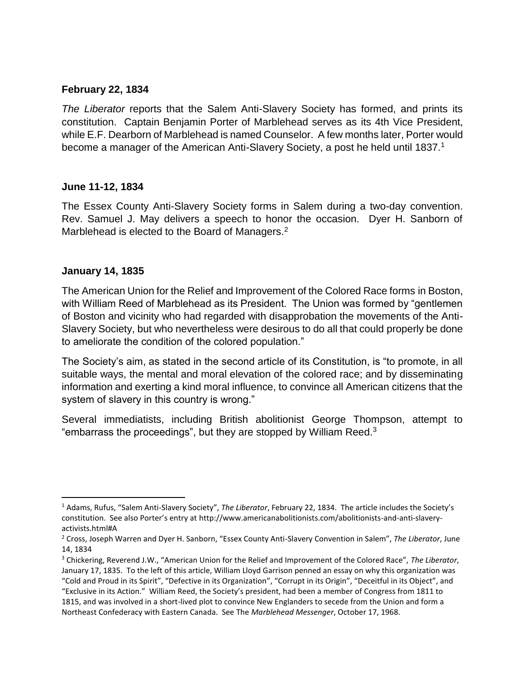### **February 22, 1834**

*The Liberator* reports that the Salem Anti-Slavery Society has formed, and prints its constitution. Captain Benjamin Porter of Marblehead serves as its 4th Vice President, while E.F. Dearborn of Marblehead is named Counselor. A few months later, Porter would become a manager of the American Anti-Slavery Society, a post he held until 1837.<sup>1</sup>

#### **June 11-12, 1834**

The Essex County Anti-Slavery Society forms in Salem during a two-day convention. Rev. Samuel J. May delivers a speech to honor the occasion. Dyer H. Sanborn of Marblehead is elected to the Board of Managers. $2$ 

### **January 14, 1835**

 $\overline{a}$ 

The American Union for the Relief and Improvement of the Colored Race forms in Boston, with William Reed of Marblehead as its President. The Union was formed by "gentlemen of Boston and vicinity who had regarded with disapprobation the movements of the Anti-Slavery Society, but who nevertheless were desirous to do all that could properly be done to ameliorate the condition of the colored population."

The Society's aim, as stated in the second article of its Constitution, is "to promote, in all suitable ways, the mental and moral elevation of the colored race; and by disseminating information and exerting a kind moral influence, to convince all American citizens that the system of slavery in this country is wrong."

Several immediatists, including British abolitionist George Thompson, attempt to "embarrass the proceedings", but they are stopped by William Reed.<sup>3</sup>

<sup>1</sup> Adams, Rufus, "Salem Anti-Slavery Society", *The Liberator*, February 22, 1834. The article includes the Society's constitution. See also Porter's entry at http://www.americanabolitionists.com/abolitionists-and-anti-slaveryactivists.html#A

<sup>2</sup> Cross, Joseph Warren and Dyer H. Sanborn, "Essex County Anti-Slavery Convention in Salem", *The Liberator*, June 14, 1834

<sup>3</sup> Chickering, Reverend J.W., "American Union for the Relief and Improvement of the Colored Race", *The Liberator*, January 17, 1835. To the left of this article, William Lloyd Garrison penned an essay on why this organization was "Cold and Proud in its Spirit", "Defective in its Organization", "Corrupt in its Origin", "Deceitful in its Object", and "Exclusive in its Action." William Reed, the Society's president, had been a member of Congress from 1811 to

<sup>1815,</sup> and was involved in a short-lived plot to convince New Englanders to secede from the Union and form a Northeast Confederacy with Eastern Canada. See The *Marblehead Messenger*, October 17, 1968.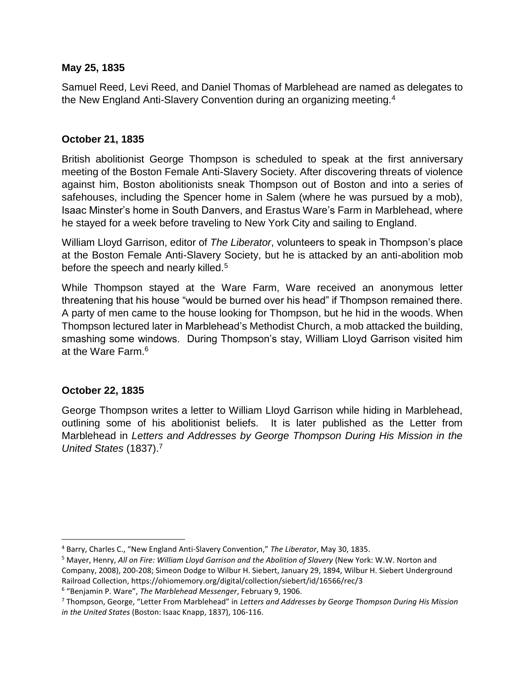### **May 25, 1835**

Samuel Reed, Levi Reed, and Daniel Thomas of Marblehead are named as delegates to the New England Anti-Slavery Convention during an organizing meeting.<sup>4</sup>

### **October 21, 1835**

British abolitionist George Thompson is scheduled to speak at the first anniversary meeting of the Boston Female Anti-Slavery Society. After discovering threats of violence against him, Boston abolitionists sneak Thompson out of Boston and into a series of safehouses, including the Spencer home in Salem (where he was pursued by a mob), Isaac Minster's home in South Danvers, and Erastus Ware's Farm in Marblehead, where he stayed for a week before traveling to New York City and sailing to England.

William Lloyd Garrison, editor of *The Liberator*, volunteers to speak in Thompson's place at the Boston Female Anti-Slavery Society, but he is attacked by an anti-abolition mob before the speech and nearly killed.<sup>5</sup>

While Thompson stayed at the Ware Farm, Ware received an anonymous letter threatening that his house "would be burned over his head" if Thompson remained there. A party of men came to the house looking for Thompson, but he hid in the woods. When Thompson lectured later in Marblehead's Methodist Church, a mob attacked the building, smashing some windows. During Thompson's stay, William Lloyd Garrison visited him at the Ware Farm.<sup>6</sup>

### **October 22, 1835**

 $\overline{\phantom{a}}$ 

George Thompson writes a letter to William Lloyd Garrison while hiding in Marblehead, outlining some of his abolitionist beliefs. It is later published as the Letter from Marblehead in *Letters and Addresses by George Thompson During His Mission in the United States* (1837).<sup>7</sup>

<sup>4</sup> Barry, Charles C., "New England Anti-Slavery Convention," *The Liberator*, May 30, 1835.

<sup>5</sup> Mayer, Henry, *All on Fire: William Lloyd Garrison and the Abolition of Slavery* (New York: W.W. Norton and Company, 2008), 200-208; Simeon Dodge to Wilbur H. Siebert, January 29, 1894, Wilbur H. Siebert Underground Railroad Collection, https://ohiomemory.org/digital/collection/siebert/id/16566/rec/3

<sup>6</sup> "Benjamin P. Ware", *The Marblehead Messenger*, February 9, 1906.

<sup>7</sup> Thompson, George, "Letter From Marblehead" in *Letters and Addresses by George Thompson During His Mission in the United States* (Boston: Isaac Knapp, 1837), 106-116.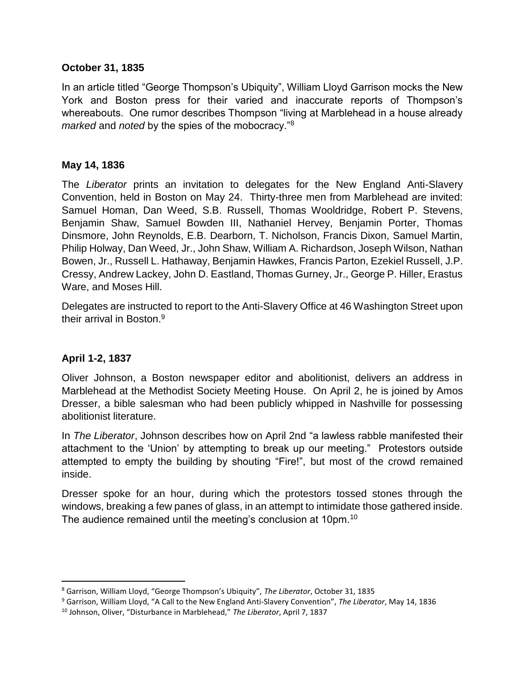### **October 31, 1835**

In an article titled "George Thompson's Ubiquity", William Lloyd Garrison mocks the New York and Boston press for their varied and inaccurate reports of Thompson's whereabouts. One rumor describes Thompson "living at Marblehead in a house already *marked* and *noted* by the spies of the mobocracy."<sup>8</sup>

## **May 14, 1836**

The *Liberator* prints an invitation to delegates for the New England Anti-Slavery Convention, held in Boston on May 24. Thirty-three men from Marblehead are invited: Samuel Homan, Dan Weed, S.B. Russell, Thomas Wooldridge, Robert P. Stevens, Benjamin Shaw, Samuel Bowden III, Nathaniel Hervey, Benjamin Porter, Thomas Dinsmore, John Reynolds, E.B. Dearborn, T. Nicholson, Francis Dixon, Samuel Martin, Philip Holway, Dan Weed, Jr., John Shaw, William A. Richardson, Joseph Wilson, Nathan Bowen, Jr., Russell L. Hathaway, Benjamin Hawkes, Francis Parton, Ezekiel Russell, J.P. Cressy, Andrew Lackey, John D. Eastland, Thomas Gurney, Jr., George P. Hiller, Erastus Ware, and Moses Hill.

Delegates are instructed to report to the Anti-Slavery Office at 46 Washington Street upon their arrival in Boston.<sup>9</sup>

# **April 1-2, 1837**

 $\overline{\phantom{a}}$ 

Oliver Johnson, a Boston newspaper editor and abolitionist, delivers an address in Marblehead at the Methodist Society Meeting House. On April 2, he is joined by Amos Dresser, a bible salesman who had been publicly whipped in Nashville for possessing abolitionist literature.

In *The Liberator*, Johnson describes how on April 2nd "a lawless rabble manifested their attachment to the 'Union' by attempting to break up our meeting." Protestors outside attempted to empty the building by shouting "Fire!", but most of the crowd remained inside.

Dresser spoke for an hour, during which the protestors tossed stones through the windows, breaking a few panes of glass, in an attempt to intimidate those gathered inside. The audience remained until the meeting's conclusion at 10pm.<sup>10</sup>

<sup>8</sup> Garrison, William Lloyd, "George Thompson's Ubiquity", *The Liberator*, October 31, 1835

<sup>9</sup> Garrison, William Lloyd, "A Call to the New England Anti-Slavery Convention", *The Liberator*, May 14, 1836

<sup>10</sup> Johnson, Oliver, "Disturbance in Marblehead," *The Liberator*, April 7, 1837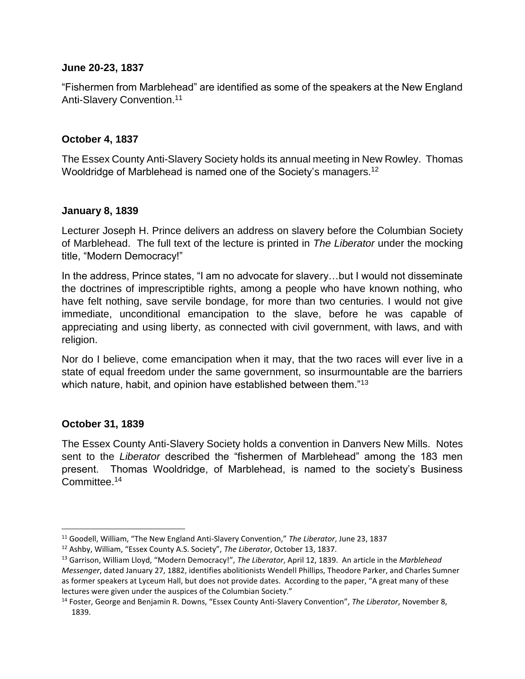### **June 20-23, 1837**

"Fishermen from Marblehead" are identified as some of the speakers at the New England Anti-Slavery Convention.<sup>11</sup>

### **October 4, 1837**

The Essex County Anti-Slavery Society holds its annual meeting in New Rowley. Thomas Wooldridge of Marblehead is named one of the Society's managers.<sup>12</sup>

### **January 8, 1839**

Lecturer Joseph H. Prince delivers an address on slavery before the Columbian Society of Marblehead. The full text of the lecture is printed in *The Liberator* under the mocking title, "Modern Democracy!"

In the address, Prince states, "I am no advocate for slavery…but I would not disseminate the doctrines of imprescriptible rights, among a people who have known nothing, who have felt nothing, save servile bondage, for more than two centuries. I would not give immediate, unconditional emancipation to the slave, before he was capable of appreciating and using liberty, as connected with civil government, with laws, and with religion.

Nor do I believe, come emancipation when it may, that the two races will ever live in a state of equal freedom under the same government, so insurmountable are the barriers which nature, habit, and opinion have established between them."<sup>13</sup>

### **October 31, 1839**

 $\overline{\phantom{a}}$ 

The Essex County Anti-Slavery Society holds a convention in Danvers New Mills. Notes sent to the *Liberator* described the "fishermen of Marblehead" among the 183 men present. Thomas Wooldridge, of Marblehead, is named to the society's Business Committee.<sup>14</sup>

<sup>11</sup> Goodell, William, "The New England Anti-Slavery Convention," *The Liberator*, June 23, 1837

<sup>12</sup> Ashby, William, "Essex County A.S. Society", *The Liberator*, October 13, 1837.

<sup>13</sup> Garrison, William Lloyd, "Modern Democracy!", *The Liberator*, April 12, 1839. An article in the *Marblehead Messenger*, dated January 27, 1882, identifies abolitionists Wendell Phillips, Theodore Parker, and Charles Sumner as former speakers at Lyceum Hall, but does not provide dates. According to the paper, "A great many of these lectures were given under the auspices of the Columbian Society."

<sup>14</sup> Foster, George and Benjamin R. Downs, "Essex County Anti-Slavery Convention", *The Liberator*, November 8, 1839.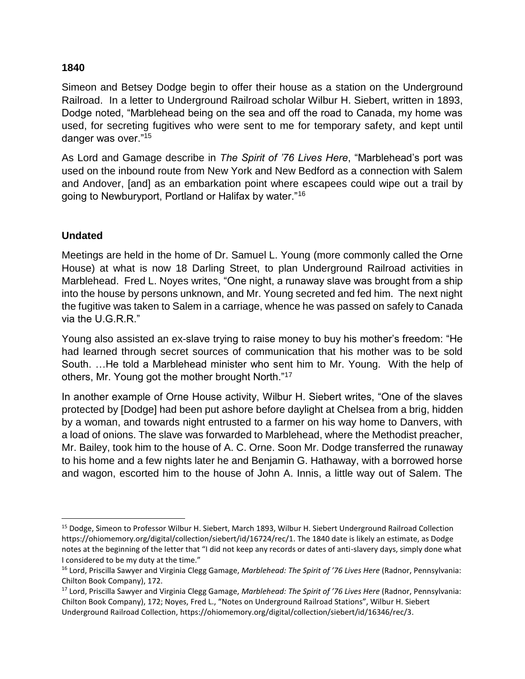### **1840**

Simeon and Betsey Dodge begin to offer their house as a station on the Underground Railroad. In a letter to Underground Railroad scholar Wilbur H. Siebert, written in 1893, Dodge noted, "Marblehead being on the sea and off the road to Canada, my home was used, for secreting fugitives who were sent to me for temporary safety, and kept until danger was over."<sup>15</sup>

As Lord and Gamage describe in *The Spirit of '76 Lives Here*, "Marblehead's port was used on the inbound route from New York and New Bedford as a connection with Salem and Andover, [and] as an embarkation point where escapees could wipe out a trail by going to Newburyport, Portland or Halifax by water."<sup>16</sup>

# **Undated**

 $\overline{\phantom{a}}$ 

Meetings are held in the home of Dr. Samuel L. Young (more commonly called the Orne House) at what is now 18 Darling Street, to plan Underground Railroad activities in Marblehead. Fred L. Noyes writes, "One night, a runaway slave was brought from a ship into the house by persons unknown, and Mr. Young secreted and fed him. The next night the fugitive was taken to Salem in a carriage, whence he was passed on safely to Canada via the U.G.R.R."

Young also assisted an ex-slave trying to raise money to buy his mother's freedom: "He had learned through secret sources of communication that his mother was to be sold South. …He told a Marblehead minister who sent him to Mr. Young. With the help of others, Mr. Young got the mother brought North."<sup>17</sup>

In another example of Orne House activity, Wilbur H. Siebert writes, "One of the slaves protected by [Dodge] had been put ashore before daylight at Chelsea from a brig, hidden by a woman, and towards night entrusted to a farmer on his way home to Danvers, with a load of onions. The slave was forwarded to Marblehead, where the Methodist preacher, Mr. Bailey, took him to the house of A. C. Orne. Soon Mr. Dodge transferred the runaway to his home and a few nights later he and Benjamin G. Hathaway, with a borrowed horse and wagon, escorted him to the house of John A. Innis, a little way out of Salem. The

<sup>&</sup>lt;sup>15</sup> Dodge, Simeon to Professor Wilbur H. Siebert, March 1893, Wilbur H. Siebert Underground Railroad Collection https://ohiomemory.org/digital/collection/siebert/id/16724/rec/1. The 1840 date is likely an estimate, as Dodge notes at the beginning of the letter that "I did not keep any records or dates of anti-slavery days, simply done what I considered to be my duty at the time."

<sup>16</sup> Lord, Priscilla Sawyer and Virginia Clegg Gamage, *Marblehead: The Spirit of '76 Lives Here* (Radnor, Pennsylvania: Chilton Book Company), 172.

<sup>17</sup> Lord, Priscilla Sawyer and Virginia Clegg Gamage, *Marblehead: The Spirit of '76 Lives Here* (Radnor, Pennsylvania: Chilton Book Company), 172; Noyes, Fred L., "Notes on Underground Railroad Stations", Wilbur H. Siebert Underground Railroad Collection, https://ohiomemory.org/digital/collection/siebert/id/16346/rec/3.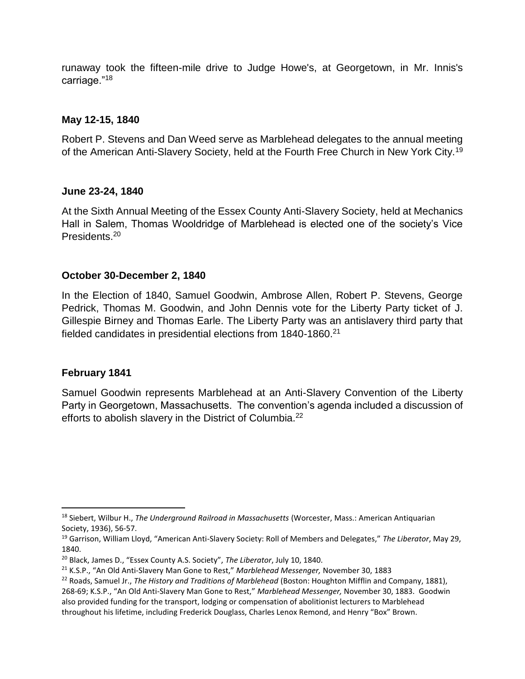runaway took the fifteen-mile drive to Judge Howe's, at Georgetown, in Mr. Innis's carriage."<sup>18</sup>

### **May 12-15, 1840**

Robert P. Stevens and Dan Weed serve as Marblehead delegates to the annual meeting of the American Anti-Slavery Society, held at the Fourth Free Church in New York City.<sup>19</sup>

### **June 23-24, 1840**

At the Sixth Annual Meeting of the Essex County Anti-Slavery Society, held at Mechanics Hall in Salem, Thomas Wooldridge of Marblehead is elected one of the society's Vice Presidents.<sup>20</sup>

## **October 30-December 2, 1840**

In the Election of 1840, Samuel Goodwin, Ambrose Allen, Robert P. Stevens, George Pedrick, Thomas M. Goodwin, and John Dennis vote for the Liberty Party ticket of J. Gillespie Birney and Thomas Earle. The Liberty Party was an antislavery third party that fielded candidates in presidential elections from 1840-1860.<sup>21</sup>

### **February 1841**

 $\overline{\phantom{a}}$ 

Samuel Goodwin represents Marblehead at an Anti-Slavery Convention of the Liberty Party in Georgetown, Massachusetts. The convention's agenda included a discussion of efforts to abolish slavery in the District of Columbia.<sup>22</sup>

<sup>18</sup> Siebert, Wilbur H., *The Underground Railroad in Massachusetts* (Worcester, Mass.: American Antiquarian Society, 1936), 56-57.

<sup>19</sup> Garrison, William Lloyd, "American Anti-Slavery Society: Roll of Members and Delegates," *The Liberator*, May 29, 1840.

<sup>20</sup> Black, James D., "Essex County A.S. Society", *The Liberator*, July 10, 1840.

<sup>21</sup> K.S.P., "An Old Anti-Slavery Man Gone to Rest," *Marblehead Messenger,* November 30, 1883

<sup>22</sup> Roads, Samuel Jr., *The History and Traditions of Marblehead* (Boston: Houghton Mifflin and Company, 1881), 268-69; K.S.P., "An Old Anti-Slavery Man Gone to Rest," *Marblehead Messenger,* November 30, 1883. Goodwin also provided funding for the transport, lodging or compensation of abolitionist lecturers to Marblehead throughout his lifetime, including Frederick Douglass, Charles Lenox Remond, and Henry "Box" Brown.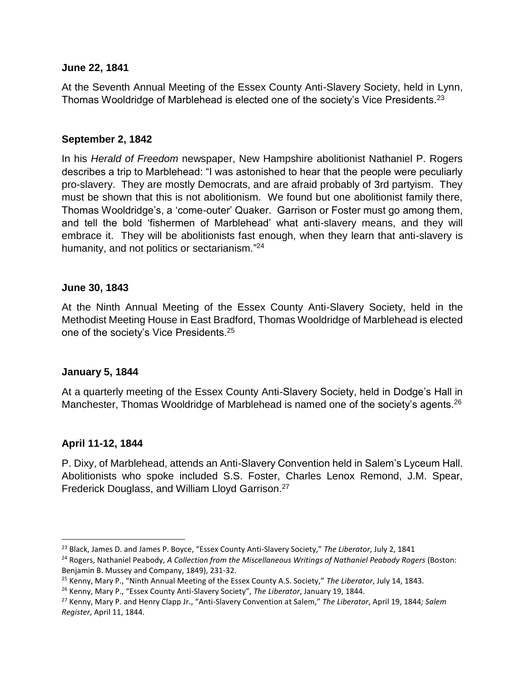#### **June 22, 1841**

At the Seventh Annual Meeting of the Essex County Anti-Slavery Society, held in Lynn, Thomas Wooldridge of Marblehead is elected one of the society's Vice Presidents.<sup>23</sup>

### **September 2, 1842**

In his *Herald of Freedom* newspaper, New Hampshire abolitionist Nathaniel P. Rogers describes a trip to Marblehead: "I was astonished to hear that the people were peculiarly pro-slavery. They are mostly Democrats, and are afraid probably of 3rd partyism. They must be shown that this is not abolitionism. We found but one abolitionist family there, Thomas Wooldridge's, a 'come-outer' Quaker. Garrison or Foster must go among them, and tell the bold 'fishermen of Marblehead' what anti-slavery means, and they will embrace it. They will be abolitionists fast enough, when they learn that anti-slavery is humanity, and not politics or sectarianism."<sup>24</sup>

#### **June 30, 1843**

At the Ninth Annual Meeting of the Essex County Anti-Slavery Society, held in the Methodist Meeting House in East Bradford, Thomas Wooldridge of Marblehead is elected one of the society's Vice Presidents.<sup>25</sup>

### **January 5, 1844**

At a quarterly meeting of the Essex County Anti-Slavery Society, held in Dodge's Hall in Manchester, Thomas Wooldridge of Marblehead is named one of the society's agents.<sup>26</sup>

### **April 11-12, 1844**

 $\overline{\phantom{a}}$ 

P. Dixy, of Marblehead, attends an Anti-Slavery Convention held in Salem's Lyceum Hall. Abolitionists who spoke included S.S. Foster, Charles Lenox Remond, J.M. Spear, Frederick Douglass, and William Lloyd Garrison.<sup>27</sup>

<sup>23</sup> Black, James D. and James P. Boyce, "Essex County Anti-Slavery Society," *The Liberator*, July 2, 1841

<sup>&</sup>lt;sup>24</sup> Rogers, Nathaniel Peabody, *A Collection from the Miscellaneous Writings of Nathaniel Peabody Rogers (Boston:* Benjamin B. Mussey and Company, 1849), 231-32.

<sup>25</sup> Kenny, Mary P., "Ninth Annual Meeting of the Essex County A.S. Society," *The Liberator*, July 14, 1843.

<sup>26</sup> Kenny, Mary P., "Essex County Anti-Slavery Society", *The Liberator*, January 19, 1844.

<sup>27</sup> Kenny, Mary P. and Henry Clapp Jr., "Anti-Slavery Convention at Salem," *The Liberator*, April 19, 1844*; Salem Register*, April 11, 1844.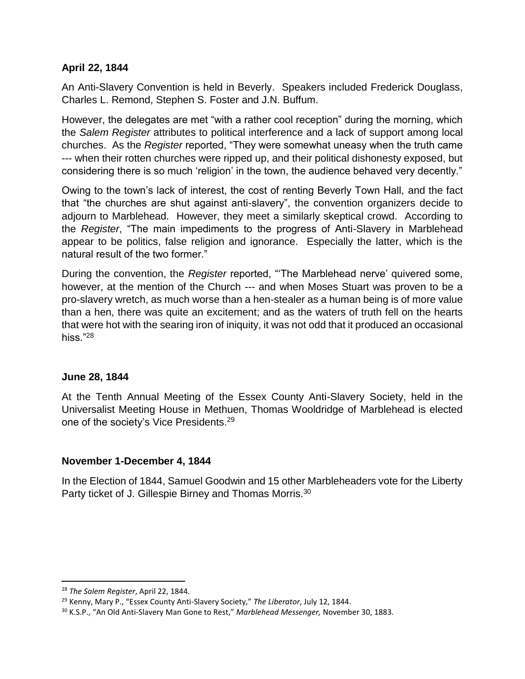### **April 22, 1844**

An Anti-Slavery Convention is held in Beverly. Speakers included Frederick Douglass, Charles L. Remond, Stephen S. Foster and J.N. Buffum.

However, the delegates are met "with a rather cool reception" during the morning, which the *Salem Register* attributes to political interference and a lack of support among local churches. As the *Register* reported, "They were somewhat uneasy when the truth came --- when their rotten churches were ripped up, and their political dishonesty exposed, but considering there is so much 'religion' in the town, the audience behaved very decently."

Owing to the town's lack of interest, the cost of renting Beverly Town Hall, and the fact that "the churches are shut against anti-slavery", the convention organizers decide to adjourn to Marblehead. However, they meet a similarly skeptical crowd. According to the *Register*, "The main impediments to the progress of Anti-Slavery in Marblehead appear to be politics, false religion and ignorance. Especially the latter, which is the natural result of the two former."

During the convention, the *Register* reported, "'The Marblehead nerve' quivered some, however, at the mention of the Church --- and when Moses Stuart was proven to be a pro-slavery wretch, as much worse than a hen-stealer as a human being is of more value than a hen, there was quite an excitement; and as the waters of truth fell on the hearts that were hot with the searing iron of iniquity, it was not odd that it produced an occasional hiss."<sup>28</sup>

### **June 28, 1844**

At the Tenth Annual Meeting of the Essex County Anti-Slavery Society, held in the Universalist Meeting House in Methuen, Thomas Wooldridge of Marblehead is elected one of the society's Vice Presidents.<sup>29</sup>

# **November 1-December 4, 1844**

In the Election of 1844, Samuel Goodwin and 15 other Marbleheaders vote for the Liberty Party ticket of J. Gillespie Birney and Thomas Morris.<sup>30</sup>

 $\overline{\phantom{a}}$ 

<sup>28</sup> *The Salem Register*, April 22, 1844.

<sup>29</sup> Kenny, Mary P., "Essex County Anti-Slavery Society," *The Liberator*, July 12, 1844.

<sup>30</sup> K.S.P., "An Old Anti-Slavery Man Gone to Rest," *Marblehead Messenger,* November 30, 1883.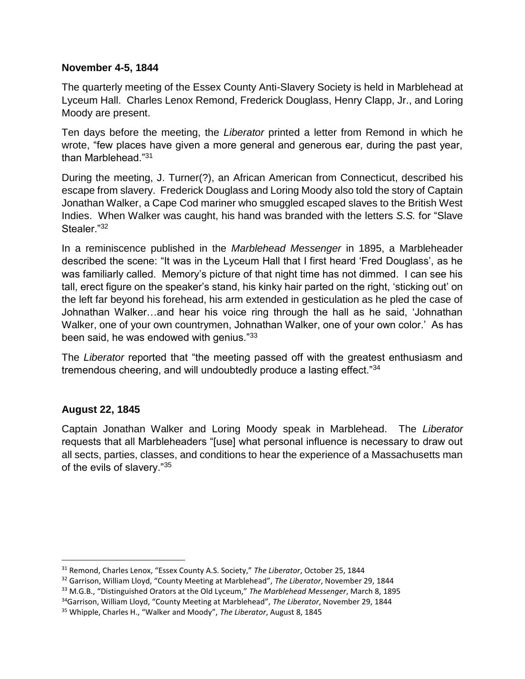#### **November 4-5, 1844**

The quarterly meeting of the Essex County Anti-Slavery Society is held in Marblehead at Lyceum Hall. Charles Lenox Remond, Frederick Douglass, Henry Clapp, Jr., and Loring Moody are present.

Ten days before the meeting, the *Liberator* printed a letter from Remond in which he wrote, "few places have given a more general and generous ear, during the past year, than Marblehead."<sup>31</sup>

During the meeting, J. Turner(?), an African American from Connecticut, described his escape from slavery. Frederick Douglass and Loring Moody also told the story of Captain Jonathan Walker, a Cape Cod mariner who smuggled escaped slaves to the British West Indies. When Walker was caught, his hand was branded with the letters *S.S.* for "Slave Stealer."<sup>32</sup>

In a reminiscence published in the *Marblehead Messenger* in 1895, a Marbleheader described the scene: "It was in the Lyceum Hall that I first heard 'Fred Douglass', as he was familiarly called. Memory's picture of that night time has not dimmed. I can see his tall, erect figure on the speaker's stand, his kinky hair parted on the right, 'sticking out' on the left far beyond his forehead, his arm extended in gesticulation as he pled the case of Johnathan Walker…and hear his voice ring through the hall as he said, 'Johnathan Walker, one of your own countrymen, Johnathan Walker, one of your own color.' As has been said, he was endowed with genius."<sup>33</sup>

The *Liberator* reported that "the meeting passed off with the greatest enthusiasm and tremendous cheering, and will undoubtedly produce a lasting effect."<sup>34</sup>

# **August 22, 1845**

l

Captain Jonathan Walker and Loring Moody speak in Marblehead. The *Liberator* requests that all Marbleheaders "[use] what personal influence is necessary to draw out all sects, parties, classes, and conditions to hear the experience of a Massachusetts man of the evils of slavery."<sup>35</sup>

<sup>31</sup> Remond, Charles Lenox, "Essex County A.S. Society," *The Liberator*, October 25, 1844

<sup>32</sup> Garrison, William Lloyd, "County Meeting at Marblehead", *The Liberator*, November 29, 1844

<sup>33</sup> M.G.B., "Distinguished Orators at the Old Lyceum," *The Marblehead Messenger*, March 8, 1895

<sup>34</sup>Garrison, William Lloyd, "County Meeting at Marblehead", *The Liberator*, November 29, 1844

<sup>35</sup> Whipple, Charles H., "Walker and Moody", *The Liberator*, August 8, 1845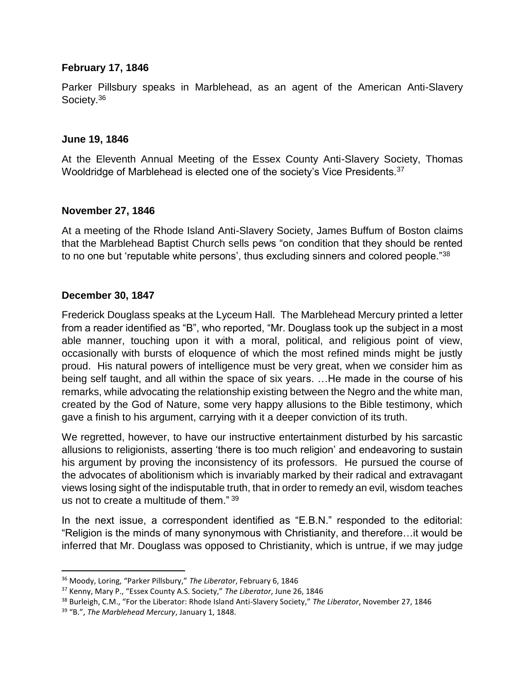### **February 17, 1846**

Parker Pillsbury speaks in Marblehead, as an agent of the American Anti-Slavery Society.<sup>36</sup>

### **June 19, 1846**

At the Eleventh Annual Meeting of the Essex County Anti-Slavery Society, Thomas Wooldridge of Marblehead is elected one of the society's Vice Presidents.<sup>37</sup>

## **November 27, 1846**

At a meeting of the Rhode Island Anti-Slavery Society, James Buffum of Boston claims that the Marblehead Baptist Church sells pews "on condition that they should be rented to no one but 'reputable white persons', thus excluding sinners and colored people." $38$ 

## **December 30, 1847**

Frederick Douglass speaks at the Lyceum Hall. The Marblehead Mercury printed a letter from a reader identified as "B", who reported, "Mr. Douglass took up the subject in a most able manner, touching upon it with a moral, political, and religious point of view, occasionally with bursts of eloquence of which the most refined minds might be justly proud. His natural powers of intelligence must be very great, when we consider him as being self taught, and all within the space of six years. …He made in the course of his remarks, while advocating the relationship existing between the Negro and the white man, created by the God of Nature, some very happy allusions to the Bible testimony, which gave a finish to his argument, carrying with it a deeper conviction of its truth.

We regretted, however, to have our instructive entertainment disturbed by his sarcastic allusions to religionists, asserting 'there is too much religion' and endeavoring to sustain his argument by proving the inconsistency of its professors. He pursued the course of the advocates of abolitionism which is invariably marked by their radical and extravagant views losing sight of the indisputable truth, that in order to remedy an evil, wisdom teaches us not to create a multitude of them." <sup>39</sup>

In the next issue, a correspondent identified as "E.B.N." responded to the editorial: "Religion is the minds of many synonymous with Christianity, and therefore…it would be inferred that Mr. Douglass was opposed to Christianity, which is untrue, if we may judge

 $\overline{a}$ 

<sup>36</sup> Moody, Loring, "Parker Pillsbury," *The Liberator*, February 6, 1846

<sup>37</sup> Kenny, Mary P., "Essex County A.S. Society," *The Liberator*, June 26, 1846

<sup>38</sup> Burleigh, C.M., "For the Liberator: Rhode Island Anti-Slavery Society," *The Liberator*, November 27, 1846

<sup>39</sup> "B.", *The Marblehead Mercury*, January 1, 1848.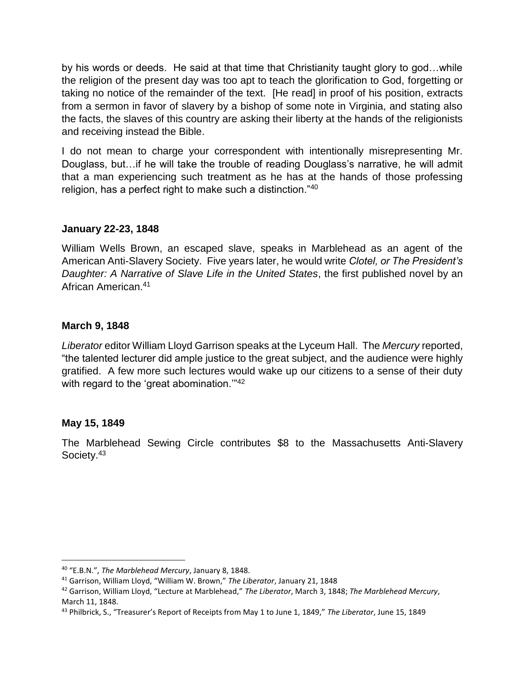by his words or deeds. He said at that time that Christianity taught glory to god…while the religion of the present day was too apt to teach the glorification to God, forgetting or taking no notice of the remainder of the text. [He read] in proof of his position, extracts from a sermon in favor of slavery by a bishop of some note in Virginia, and stating also the facts, the slaves of this country are asking their liberty at the hands of the religionists and receiving instead the Bible.

I do not mean to charge your correspondent with intentionally misrepresenting Mr. Douglass, but…if he will take the trouble of reading Douglass's narrative, he will admit that a man experiencing such treatment as he has at the hands of those professing religion, has a perfect right to make such a distinction."<sup>40</sup>

## **January 22-23, 1848**

William Wells Brown, an escaped slave, speaks in Marblehead as an agent of the American Anti-Slavery Society. Five years later, he would write *Clotel, or The President's Daughter: A Narrative of Slave Life in the United States*, the first published novel by an African American.<sup>41</sup>

### **March 9, 1848**

*Liberator* editor William Lloyd Garrison speaks at the Lyceum Hall. The *Mercury* reported, "the talented lecturer did ample justice to the great subject, and the audience were highly gratified. A few more such lectures would wake up our citizens to a sense of their duty with regard to the 'great abomination."<sup>42</sup>

### **May 15, 1849**

l

The Marblehead Sewing Circle contributes \$8 to the Massachusetts Anti-Slavery Society.<sup>43</sup>

<sup>40</sup> "E.B.N.", *The Marblehead Mercury*, January 8, 1848.

<sup>41</sup> Garrison, William Lloyd, "William W. Brown," *The Liberator*, January 21, 1848

<sup>42</sup> Garrison, William Lloyd, "Lecture at Marblehead," *The Liberator*, March 3, 1848; *The Marblehead Mercury*, March 11, 1848.

<sup>43</sup> Philbrick, S., "Treasurer's Report of Receipts from May 1 to June 1, 1849," *The Liberator*, June 15, 1849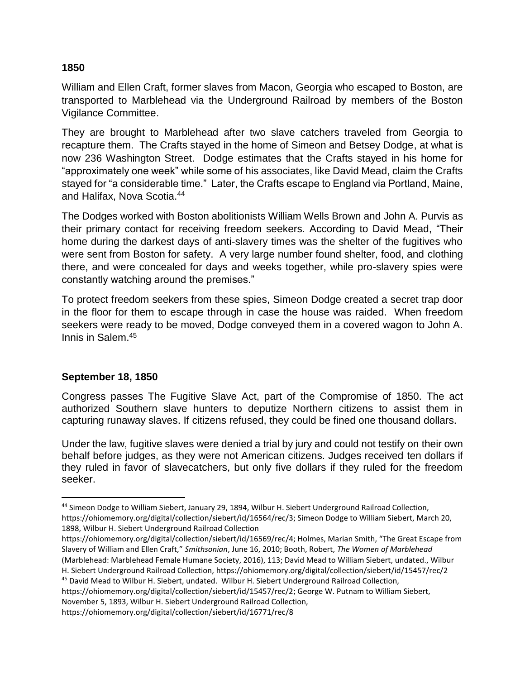### **1850**

William and Ellen Craft, former slaves from Macon, Georgia who escaped to Boston, are transported to Marblehead via the Underground Railroad by members of the Boston Vigilance Committee.

They are brought to Marblehead after two slave catchers traveled from Georgia to recapture them. The Crafts stayed in the home of Simeon and Betsey Dodge, at what is now 236 Washington Street. Dodge estimates that the Crafts stayed in his home for "approximately one week" while some of his associates, like David Mead, claim the Crafts stayed for "a considerable time." Later, the Crafts escape to England via Portland, Maine, and Halifax, Nova Scotia.<sup>44</sup>

The Dodges worked with Boston abolitionists William Wells Brown and John A. Purvis as their primary contact for receiving freedom seekers. According to David Mead, "Their home during the darkest days of anti-slavery times was the shelter of the fugitives who were sent from Boston for safety. A very large number found shelter, food, and clothing there, and were concealed for days and weeks together, while pro-slavery spies were constantly watching around the premises."

To protect freedom seekers from these spies, Simeon Dodge created a secret trap door in the floor for them to escape through in case the house was raided. When freedom seekers were ready to be moved, Dodge conveyed them in a covered wagon to John A. Innis in Salem.<sup>45</sup>

# **September 18, 1850**

 $\overline{a}$ 

Congress passes The Fugitive Slave Act, part of the Compromise of 1850. The act authorized Southern slave hunters to deputize Northern citizens to assist them in capturing runaway slaves. If citizens refused, they could be fined one thousand dollars.

Under the law, fugitive slaves were denied a trial by jury and could not testify on their own behalf before judges, as they were not American citizens. Judges received ten dollars if they ruled in favor of slavecatchers, but only five dollars if they ruled for the freedom seeker.

https://ohiomemory.org/digital/collection/siebert/id/16569/rec/4; Holmes, Marian Smith, "The Great Escape from Slavery of William and Ellen Craft," *Smithsonian*, June 16, 2010; Booth, Robert, *The Women of Marblehead*

<sup>44</sup> Simeon Dodge to William Siebert, January 29, 1894, Wilbur H. Siebert Underground Railroad Collection, https://ohiomemory.org/digital/collection/siebert/id/16564/rec/3; Simeon Dodge to William Siebert, March 20, 1898, Wilbur H. Siebert Underground Railroad Collection

<sup>(</sup>Marblehead: Marblehead Female Humane Society, 2016), 113; David Mead to William Siebert, undated., Wilbur H. Siebert Underground Railroad Collection, https://ohiomemory.org/digital/collection/siebert/id/15457/rec/2

<sup>45</sup> David Mead to Wilbur H. Siebert, undated. Wilbur H. Siebert Underground Railroad Collection,

https://ohiomemory.org/digital/collection/siebert/id/15457/rec/2; George W. Putnam to William Siebert, November 5, 1893, Wilbur H. Siebert Underground Railroad Collection,

https://ohiomemory.org/digital/collection/siebert/id/16771/rec/8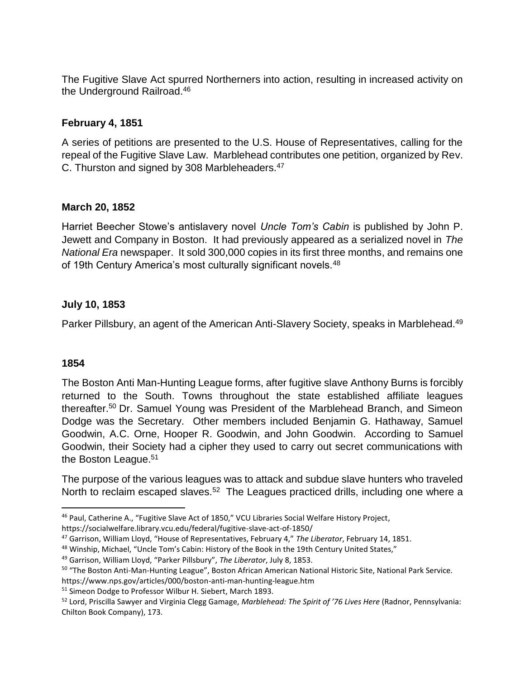The Fugitive Slave Act spurred Northerners into action, resulting in increased activity on the Underground Railroad.<sup>46</sup>

## **February 4, 1851**

A series of petitions are presented to the U.S. House of Representatives, calling for the repeal of the Fugitive Slave Law. Marblehead contributes one petition, organized by Rev. C. Thurston and signed by 308 Marbleheaders.<sup>47</sup>

### **March 20, 1852**

Harriet Beecher Stowe's antislavery novel *Uncle Tom's Cabin* is published by John P. Jewett and Company in Boston. It had previously appeared as a serialized novel in *The National Era* newspaper. It sold 300,000 copies in its first three months, and remains one of 19th Century America's most culturally significant novels.<sup>48</sup>

## **July 10, 1853**

Parker Pillsbury, an agent of the American Anti-Slavery Society, speaks in Marblehead.<sup>49</sup>

### **1854**

 $\overline{\phantom{a}}$ 

The Boston Anti Man-Hunting League forms, after fugitive slave Anthony Burns is forcibly returned to the South. Towns throughout the state established affiliate leagues thereafter.<sup>50</sup> Dr. Samuel Young was President of the Marblehead Branch, and Simeon Dodge was the Secretary. Other members included Benjamin G. Hathaway, Samuel Goodwin, A.C. Orne, Hooper R. Goodwin, and John Goodwin. According to Samuel Goodwin, their Society had a cipher they used to carry out secret communications with the Boston League. 51

The purpose of the various leagues was to attack and subdue slave hunters who traveled North to reclaim escaped slaves.<sup>52</sup> The Leagues practiced drills, including one where a

https://socialwelfare.library.vcu.edu/federal/fugitive-slave-act-of-1850/

<sup>51</sup> Simeon Dodge to Professor Wilbur H. Siebert, March 1893.

<sup>46</sup> Paul, Catherine A., "Fugitive Slave Act of 1850," VCU Libraries Social Welfare History Project,

<sup>47</sup> Garrison, William Lloyd, "House of Representatives, February 4," *The Liberator*, February 14, 1851.

<sup>48</sup> Winship, Michael, "Uncle Tom's Cabin: History of the Book in the 19th Century United States,"

<sup>49</sup> Garrison, William Lloyd, "Parker Pillsbury", *The Liberator*, July 8, 1853.

<sup>&</sup>lt;sup>50</sup> "The Boston Anti-Man-Hunting League", Boston African American National Historic Site, National Park Service.

https://www.nps.gov/articles/000/boston-anti-man-hunting-league.htm

<sup>52</sup> Lord, Priscilla Sawyer and Virginia Clegg Gamage, *Marblehead: The Spirit of '76 Lives Here* (Radnor, Pennsylvania: Chilton Book Company), 173.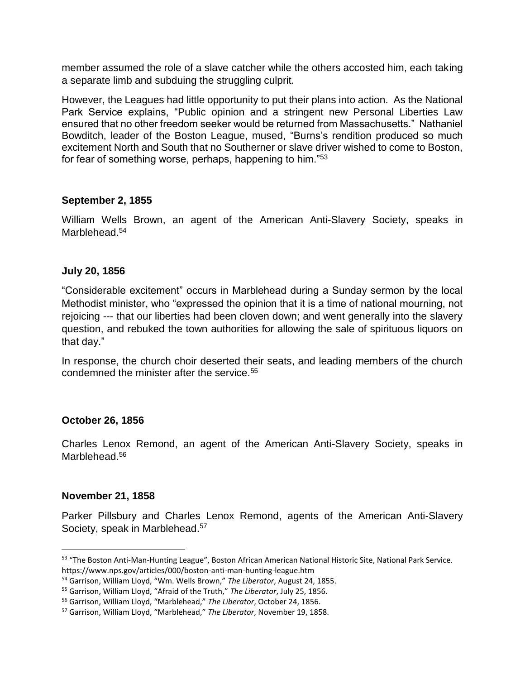member assumed the role of a slave catcher while the others accosted him, each taking a separate limb and subduing the struggling culprit.

However, the Leagues had little opportunity to put their plans into action. As the National Park Service explains, "Public opinion and a stringent new Personal Liberties Law ensured that no other freedom seeker would be returned from Massachusetts." Nathaniel Bowditch, leader of the Boston League, mused, "Burns's rendition produced so much excitement North and South that no Southerner or slave driver wished to come to Boston, for fear of something worse, perhaps, happening to him."<sup>53</sup>

### **September 2, 1855**

William Wells Brown, an agent of the American Anti-Slavery Society, speaks in Marblehead.<sup>54</sup>

## **July 20, 1856**

"Considerable excitement" occurs in Marblehead during a Sunday sermon by the local Methodist minister, who "expressed the opinion that it is a time of national mourning, not rejoicing --- that our liberties had been cloven down; and went generally into the slavery question, and rebuked the town authorities for allowing the sale of spirituous liquors on that day."

In response, the church choir deserted their seats, and leading members of the church condemned the minister after the service.<sup>55</sup>

### **October 26, 1856**

Charles Lenox Remond, an agent of the American Anti-Slavery Society, speaks in Marblehead.<sup>56</sup>

### **November 21, 1858**

 $\overline{a}$ 

Parker Pillsbury and Charles Lenox Remond, agents of the American Anti-Slavery Society, speak in Marblehead.<sup>57</sup>

<sup>53 &</sup>quot;The Boston Anti-Man-Hunting League", Boston African American National Historic Site, National Park Service. https://www.nps.gov/articles/000/boston-anti-man-hunting-league.htm

<sup>54</sup> Garrison, William Lloyd, "Wm. Wells Brown," *The Liberator*, August 24, 1855.

<sup>55</sup> Garrison, William Lloyd, "Afraid of the Truth," *The Liberator*, July 25, 1856.

<sup>56</sup> Garrison, William Lloyd, "Marblehead," *The Liberator*, October 24, 1856.

<sup>57</sup> Garrison, William Lloyd, "Marblehead," *The Liberator*, November 19, 1858.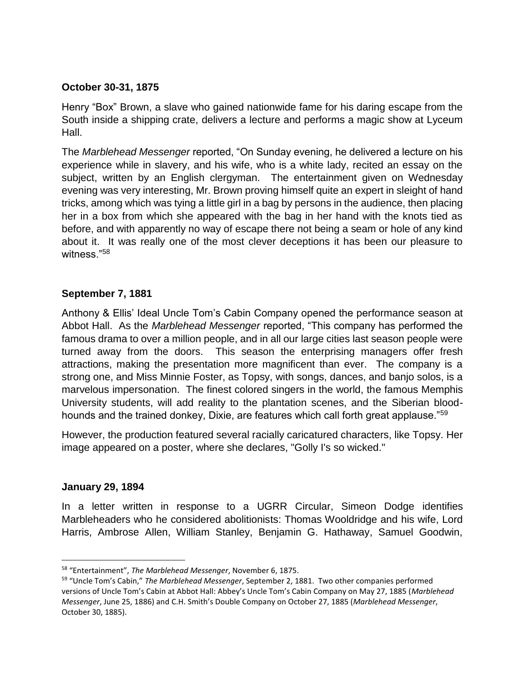## **October 30-31, 1875**

Henry "Box" Brown, a slave who gained nationwide fame for his daring escape from the South inside a shipping crate, delivers a lecture and performs a magic show at Lyceum Hall.

The *Marblehead Messenger* reported, "On Sunday evening, he delivered a lecture on his experience while in slavery, and his wife, who is a white lady, recited an essay on the subject, written by an English clergyman. The entertainment given on Wednesday evening was very interesting, Mr. Brown proving himself quite an expert in sleight of hand tricks, among which was tying a little girl in a bag by persons in the audience, then placing her in a box from which she appeared with the bag in her hand with the knots tied as before, and with apparently no way of escape there not being a seam or hole of any kind about it. It was really one of the most clever deceptions it has been our pleasure to witness."<sup>58</sup>

## **September 7, 1881**

Anthony & Ellis' Ideal Uncle Tom's Cabin Company opened the performance season at Abbot Hall. As the *Marblehead Messenger* reported, "This company has performed the famous drama to over a million people, and in all our large cities last season people were turned away from the doors. This season the enterprising managers offer fresh attractions, making the presentation more magnificent than ever. The company is a strong one, and Miss Minnie Foster, as Topsy, with songs, dances, and banjo solos, is a marvelous impersonation. The finest colored singers in the world, the famous Memphis University students, will add reality to the plantation scenes, and the Siberian bloodhounds and the trained donkey, Dixie, are features which call forth great applause."<sup>59</sup>

However, the production featured several racially caricatured characters, like Topsy. Her image appeared on a poster, where she declares, "Golly I's so wicked."

### **January 29, 1894**

l

In a letter written in response to a UGRR Circular, Simeon Dodge identifies Marbleheaders who he considered abolitionists: Thomas Wooldridge and his wife, Lord Harris, Ambrose Allen, William Stanley, Benjamin G. Hathaway, Samuel Goodwin,

<sup>58</sup> "Entertainment", *The Marblehead Messenger*, November 6, 1875.

<sup>59</sup> "Uncle Tom's Cabin," *The Marblehead Messenger*, September 2, 1881. Two other companies performed versions of Uncle Tom's Cabin at Abbot Hall: Abbey's Uncle Tom's Cabin Company on May 27, 1885 (*Marblehead Messenger*, June 25, 1886) and C.H. Smith's Double Company on October 27, 1885 (*Marblehead Messenger*, October 30, 1885).